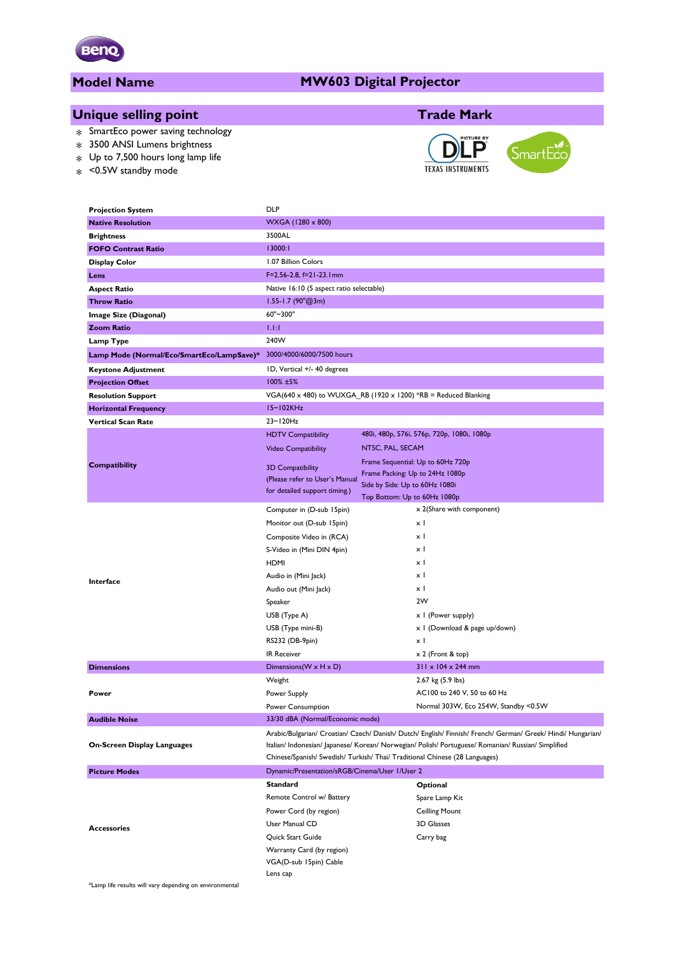

# **Model Name**

#### **MW603 Digital Projector**

# **Unique selling point Trade Mark**

- \* SmartEco power saving technology
- \* 3500 ANSI Lumens brightness
- $*$  Up to 7,500 hours long lamp life
- \* <0.5W standby mode





| <b>Projection System</b>                  | <b>DLP</b>                                                                                                   |                                            |  |  |  |  |
|-------------------------------------------|--------------------------------------------------------------------------------------------------------------|--------------------------------------------|--|--|--|--|
| <b>Native Resolution</b>                  | WXGA (1280 x 800)                                                                                            |                                            |  |  |  |  |
| <b>Brightness</b>                         | 3500AL                                                                                                       |                                            |  |  |  |  |
| <b>FOFO Contrast Ratio</b>                | 13000:1                                                                                                      |                                            |  |  |  |  |
| Display Color                             | 1.07 Billion Colors                                                                                          |                                            |  |  |  |  |
| Lens                                      | F=2.56-2.8, f=21-23.1mm                                                                                      |                                            |  |  |  |  |
| <b>Aspect Ratio</b>                       | Native 16:10 (5 aspect ratio selectable)                                                                     |                                            |  |  |  |  |
| <b>Throw Ratio</b>                        | $1.55 - 1.7$ (90"@3m)                                                                                        |                                            |  |  |  |  |
| Image Size (Diagonal)                     | 60"~300"                                                                                                     |                                            |  |  |  |  |
| <b>Zoom Ratio</b>                         | <b>LEE</b>                                                                                                   |                                            |  |  |  |  |
| Lamp Type                                 | 240W                                                                                                         |                                            |  |  |  |  |
| Lamp Mode (Normal/Eco/SmartEco/LampSave)* | 3000/4000/6000/7500 hours                                                                                    |                                            |  |  |  |  |
| <b>Keystone Adjustment</b>                | ID, Vertical +/- 40 degrees                                                                                  |                                            |  |  |  |  |
| <b>Projection Offset</b>                  | $100\%$ ±5%                                                                                                  |                                            |  |  |  |  |
| <b>Resolution Support</b>                 | VGA(640 x 480) to WUXGA_RB (1920 x 1200) *RB = Reduced Blanking                                              |                                            |  |  |  |  |
| <b>Horizontal Frequency</b>               | $15 - 102$ KHz                                                                                               |                                            |  |  |  |  |
| <b>Vertical Scan Rate</b>                 | 23~120Hz                                                                                                     |                                            |  |  |  |  |
|                                           | <b>HDTV Compatibility</b>                                                                                    | 480i, 480p, 576i, 576p, 720p, 1080i, 1080p |  |  |  |  |
|                                           | <b>Video Compatibility</b>                                                                                   | NTSC, PAL, SECAM                           |  |  |  |  |
| Compatibility                             |                                                                                                              | Frame Sequential: Up to 60Hz 720p          |  |  |  |  |
|                                           | <b>3D Compatibility</b><br>(Please refer to User's Manual                                                    | Frame Packing: Up to 24Hz 1080p            |  |  |  |  |
|                                           | for detailed support timing.)                                                                                | Side by Side: Up to 60Hz 1080i             |  |  |  |  |
|                                           |                                                                                                              | Top Bottom: Up to 60Hz 1080p               |  |  |  |  |
|                                           | Computer in (D-sub 15pin)                                                                                    | x 2(Share with component)                  |  |  |  |  |
|                                           | Monitor out (D-sub 15pin)                                                                                    | хI                                         |  |  |  |  |
|                                           | Composite Video in (RCA)                                                                                     | χI                                         |  |  |  |  |
|                                           | S-Video in (Mini DIN 4pin)                                                                                   | $\times$ 1                                 |  |  |  |  |
|                                           | <b>HDMI</b>                                                                                                  | x I                                        |  |  |  |  |
| Interface                                 | Audio in (Mini Jack)                                                                                         | χI                                         |  |  |  |  |
|                                           | Audio out (Mini Jack)                                                                                        | χI                                         |  |  |  |  |
|                                           | Speaker                                                                                                      | 2W                                         |  |  |  |  |
|                                           | USB (Type A)                                                                                                 | x I (Power supply)                         |  |  |  |  |
|                                           | USB (Type mini-B)                                                                                            | x   (Download & page up/down)              |  |  |  |  |
|                                           | RS232 (DB-9pin)                                                                                              | x I                                        |  |  |  |  |
|                                           | <b>IR Receiver</b>                                                                                           | x 2 (Front & top)                          |  |  |  |  |
| <b>Dimensions</b>                         | Dimensions ( $W \times H \times D$ )                                                                         | $311 \times 104 \times 244$ mm             |  |  |  |  |
|                                           | Weight                                                                                                       | 2.67 kg (5.9 lbs)                          |  |  |  |  |
| Power                                     | Power Supply                                                                                                 | AC100 to 240 V, 50 to 60 Hz                |  |  |  |  |
|                                           | Power Consumption                                                                                            | Normal 303W, Eco 254W, Standby <0.5W       |  |  |  |  |
| <b>Audible Noise</b>                      | 33/30 dBA (Normal/Economic mode)                                                                             |                                            |  |  |  |  |
|                                           | Arabic/Bulgarian/ Croatian/ Czech/ Danish/ Dutch/ English/ Finnish/ French/ German/ Greek/ Hindi/ Hungarian/ |                                            |  |  |  |  |
| On-Screen Display Languages               | Italian/ Indonesian/ Japanese/ Korean/ Norwegian/ Polish/ Portuguese/ Romanian/ Russian/ Simplified          |                                            |  |  |  |  |
|                                           | Chinese/Spanish/ Swedish/ Turkish/ Thai/ Traditional Chinese (28 Languages)                                  |                                            |  |  |  |  |
| <b>Picture Modes</b>                      | Dynamic/Presentation/sRGB/Cinema/User 1/User 2                                                               |                                            |  |  |  |  |
|                                           | <b>Standard</b>                                                                                              | Optional                                   |  |  |  |  |
|                                           | Remote Control w/ Battery                                                                                    | Spare Lamp Kit                             |  |  |  |  |
|                                           | Power Cord (by region)                                                                                       | <b>Ceilling Mount</b>                      |  |  |  |  |
| <b>Accessories</b>                        | User Manual CD                                                                                               | 3D Glasses                                 |  |  |  |  |
|                                           | Quick Start Guide                                                                                            | Carry bag                                  |  |  |  |  |
|                                           | Warranty Card (by region)                                                                                    |                                            |  |  |  |  |
|                                           | VGA(D-sub 15pin) Cable                                                                                       |                                            |  |  |  |  |

\*Lamp life results will vary depending on environmental

Lens cap